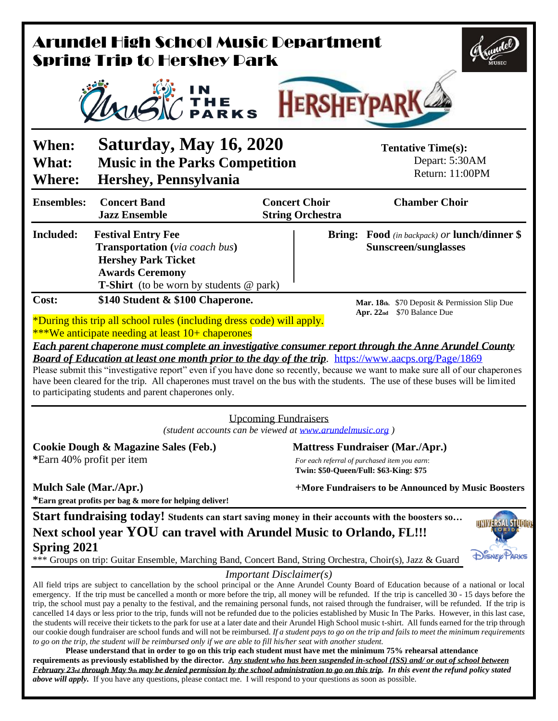| Arundel High School Music Department<br><b>Spring Trip to Hershey Park</b>                                                                                                                                                                                                                                                                                                                                                                                                                                                                                                                                                                                                                                        |                                                                                                                                                                                |  |                                                                                                                                                                                                                                                                                                                                                                                                                                                                                                                                                                                                                                                                                                                                                                                                                                                                                                                                                                                                                                                                                                                                                                                                                                                                         |                     |  |
|-------------------------------------------------------------------------------------------------------------------------------------------------------------------------------------------------------------------------------------------------------------------------------------------------------------------------------------------------------------------------------------------------------------------------------------------------------------------------------------------------------------------------------------------------------------------------------------------------------------------------------------------------------------------------------------------------------------------|--------------------------------------------------------------------------------------------------------------------------------------------------------------------------------|--|-------------------------------------------------------------------------------------------------------------------------------------------------------------------------------------------------------------------------------------------------------------------------------------------------------------------------------------------------------------------------------------------------------------------------------------------------------------------------------------------------------------------------------------------------------------------------------------------------------------------------------------------------------------------------------------------------------------------------------------------------------------------------------------------------------------------------------------------------------------------------------------------------------------------------------------------------------------------------------------------------------------------------------------------------------------------------------------------------------------------------------------------------------------------------------------------------------------------------------------------------------------------------|---------------------|--|
| IN<br>1 The<br>∕Parks<br><b>HERSHEYPA</b>                                                                                                                                                                                                                                                                                                                                                                                                                                                                                                                                                                                                                                                                         |                                                                                                                                                                                |  |                                                                                                                                                                                                                                                                                                                                                                                                                                                                                                                                                                                                                                                                                                                                                                                                                                                                                                                                                                                                                                                                                                                                                                                                                                                                         |                     |  |
| When:<br>What:<br><b>Where:</b>                                                                                                                                                                                                                                                                                                                                                                                                                                                                                                                                                                                                                                                                                   | <b>Saturday, May 16, 2020</b><br><b>Music in the Parks Competition</b><br>Hershey, Pennsylvania                                                                                |  | <b>Tentative Time(s):</b><br>Depart: 5:30AM<br>Return: 11:00PM                                                                                                                                                                                                                                                                                                                                                                                                                                                                                                                                                                                                                                                                                                                                                                                                                                                                                                                                                                                                                                                                                                                                                                                                          |                     |  |
| <b>Ensembles:</b>                                                                                                                                                                                                                                                                                                                                                                                                                                                                                                                                                                                                                                                                                                 | <b>Concert Band</b><br><b>Jazz Ensemble</b>                                                                                                                                    |  | <b>Chamber Choir</b><br><b>Concert Choir</b><br><b>String Orchestra</b>                                                                                                                                                                                                                                                                                                                                                                                                                                                                                                                                                                                                                                                                                                                                                                                                                                                                                                                                                                                                                                                                                                                                                                                                 |                     |  |
| Included:                                                                                                                                                                                                                                                                                                                                                                                                                                                                                                                                                                                                                                                                                                         | <b>Festival Entry Fee</b><br><b>Transportation</b> (via coach bus)<br><b>Hershey Park Ticket</b><br><b>Awards Ceremony</b><br><b>T-Shirt</b> (to be worn by students $@$ park) |  | <b>Bring:</b> Food (in backpack) or lunch/dinner \$<br><b>Sunscreen/sunglasses</b>                                                                                                                                                                                                                                                                                                                                                                                                                                                                                                                                                                                                                                                                                                                                                                                                                                                                                                                                                                                                                                                                                                                                                                                      |                     |  |
| \$70 Balance Due<br>Apr. $22nd$<br>*During this trip all school rules (including dress code) will apply.<br><b>***We anticipate needing at least 10+ chaperones</b><br>Each parent chaperone must complete an investigative consumer report through the Anne Arundel County<br>Board of Education at least one month prior to the day of the trip. https://www.aacps.org/Page/1869<br>Please submit this "investigative report" even if you have done so recently, because we want to make sure all of our chaperones<br>have been cleared for the trip. All chaperones must travel on the bus with the students. The use of these buses will be limited<br>to participating students and parent chaperones only. |                                                                                                                                                                                |  |                                                                                                                                                                                                                                                                                                                                                                                                                                                                                                                                                                                                                                                                                                                                                                                                                                                                                                                                                                                                                                                                                                                                                                                                                                                                         |                     |  |
| <b>Upcoming Fundraisers</b><br>(student accounts can be viewed at www.arundelmusic.org)                                                                                                                                                                                                                                                                                                                                                                                                                                                                                                                                                                                                                           |                                                                                                                                                                                |  |                                                                                                                                                                                                                                                                                                                                                                                                                                                                                                                                                                                                                                                                                                                                                                                                                                                                                                                                                                                                                                                                                                                                                                                                                                                                         |                     |  |
| <b>Cookie Dough &amp; Magazine Sales (Feb.)</b><br>*Earn 40% profit per item                                                                                                                                                                                                                                                                                                                                                                                                                                                                                                                                                                                                                                      |                                                                                                                                                                                |  | <b>Mattress Fundraiser (Mar./Apr.)</b><br>For each referral of purchased item you earn:<br>Twin: \$50-Queen/Full: \$63-King: \$75                                                                                                                                                                                                                                                                                                                                                                                                                                                                                                                                                                                                                                                                                                                                                                                                                                                                                                                                                                                                                                                                                                                                       |                     |  |
| <b>Mulch Sale (Mar./Apr.)</b><br>+More Fundraisers to be Announced by Music Boosters<br>*Earn great profits per bag & more for helping deliver!                                                                                                                                                                                                                                                                                                                                                                                                                                                                                                                                                                   |                                                                                                                                                                                |  |                                                                                                                                                                                                                                                                                                                                                                                                                                                                                                                                                                                                                                                                                                                                                                                                                                                                                                                                                                                                                                                                                                                                                                                                                                                                         |                     |  |
| <b>Spring 2021</b>                                                                                                                                                                                                                                                                                                                                                                                                                                                                                                                                                                                                                                                                                                | Next school year YOU can travel with Arundel Music to Orlando, FL!!!                                                                                                           |  | Start fundraising today! Students can start saving money in their accounts with the boosters so<br>*** Groups on trip: Guitar Ensemble, Marching Band, Concert Band, String Orchestra, Choir(s), Jazz & Guard                                                                                                                                                                                                                                                                                                                                                                                                                                                                                                                                                                                                                                                                                                                                                                                                                                                                                                                                                                                                                                                           | <b>DISNEP PARKS</b> |  |
|                                                                                                                                                                                                                                                                                                                                                                                                                                                                                                                                                                                                                                                                                                                   | to go on the trip, the student will be reimbursed only if we are able to fill his/her seat with another student.                                                               |  | <i>Important Disclaimer(s)</i><br>All field trips are subject to cancellation by the school principal or the Anne Arundel County Board of Education because of a national or local<br>emergency. If the trip must be cancelled a month or more before the trip, all money will be refunded. If the trip is cancelled 30 - 15 days before the<br>trip, the school must pay a penalty to the festival, and the remaining personal funds, not raised through the fundraiser, will be refunded. If the trip is<br>cancelled 14 days or less prior to the trip, funds will not be refunded due to the policies established by Music In The Parks. However, in this last case,<br>the students will receive their tickets to the park for use at a later date and their Arundel High School music t-shirt. All funds earned for the trip through<br>our cookie dough fundraiser are school funds and will not be reimbursed. If a student pays to go on the trip and fails to meet the minimum requirements<br>Please understand that in order to go on this trip each student must have met the minimum 75% rehearsal attendance<br>requirements as previously established by the director. Any student who has been suspended in-school (ISS) and/ or out of school between |                     |  |

*February 23rd through May 9th may be denied permission by the school administration to go on this trip. In this event the refund policy stated above will apply.* If you have any questions, please contact me. I will respond to your questions as soon as possible.